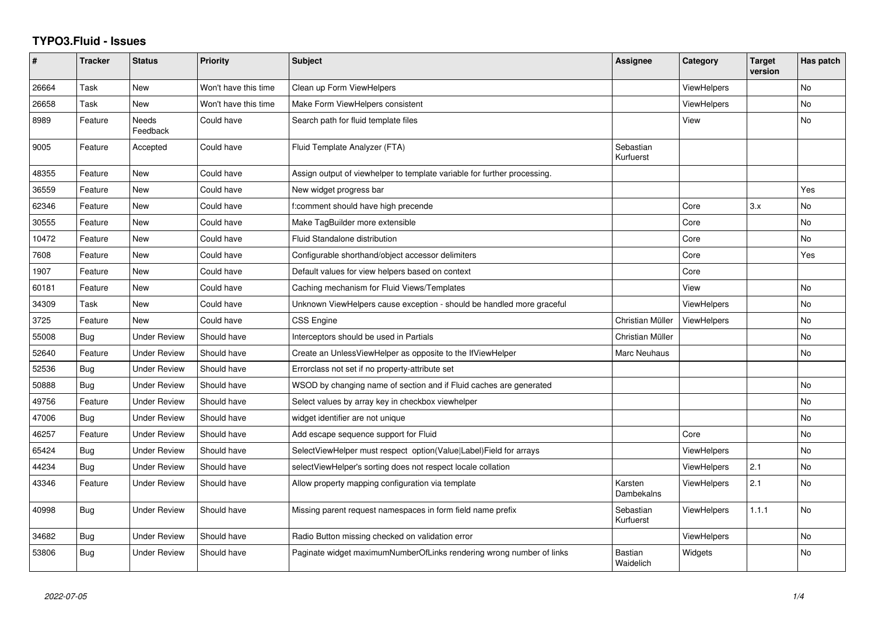## **TYPO3.Fluid - Issues**

| #     | <b>Tracker</b> | <b>Status</b>            | <b>Priority</b>      | <b>Subject</b>                                                           | Assignee                    | Category           | <b>Target</b><br>version | Has patch      |
|-------|----------------|--------------------------|----------------------|--------------------------------------------------------------------------|-----------------------------|--------------------|--------------------------|----------------|
| 26664 | Task           | <b>New</b>               | Won't have this time | Clean up Form ViewHelpers                                                |                             | ViewHelpers        |                          | <b>No</b>      |
| 26658 | Task           | New                      | Won't have this time | Make Form ViewHelpers consistent                                         |                             | <b>ViewHelpers</b> |                          | No             |
| 8989  | Feature        | <b>Needs</b><br>Feedback | Could have           | Search path for fluid template files                                     |                             | View               |                          | <b>No</b>      |
| 9005  | Feature        | Accepted                 | Could have           | Fluid Template Analyzer (FTA)                                            | Sebastian<br>Kurfuerst      |                    |                          |                |
| 48355 | Feature        | <b>New</b>               | Could have           | Assign output of viewhelper to template variable for further processing. |                             |                    |                          |                |
| 36559 | Feature        | New                      | Could have           | New widget progress bar                                                  |                             |                    |                          | Yes            |
| 62346 | Feature        | New                      | Could have           | f:comment should have high precende                                      |                             | Core               | 3.x                      | <b>No</b>      |
| 30555 | Feature        | New                      | Could have           | Make TagBuilder more extensible                                          |                             | Core               |                          | <b>No</b>      |
| 10472 | Feature        | <b>New</b>               | Could have           | Fluid Standalone distribution                                            |                             | Core               |                          | No.            |
| 7608  | Feature        | <b>New</b>               | Could have           | Configurable shorthand/object accessor delimiters                        |                             | Core               |                          | Yes            |
| 1907  | Feature        | New                      | Could have           | Default values for view helpers based on context                         |                             | Core               |                          |                |
| 60181 | Feature        | <b>New</b>               | Could have           | Caching mechanism for Fluid Views/Templates                              |                             | View               |                          | No             |
| 34309 | Task           | New                      | Could have           | Unknown ViewHelpers cause exception - should be handled more graceful    |                             | <b>ViewHelpers</b> |                          | <b>No</b>      |
| 3725  | Feature        | <b>New</b>               | Could have           | <b>CSS Engine</b>                                                        | Christian Müller            | <b>ViewHelpers</b> |                          | <b>No</b>      |
| 55008 | Bug            | <b>Under Review</b>      | Should have          | Interceptors should be used in Partials                                  | Christian Müller            |                    |                          | <b>No</b>      |
| 52640 | Feature        | <b>Under Review</b>      | Should have          | Create an UnlessViewHelper as opposite to the IfViewHelper               | Marc Neuhaus                |                    |                          | No             |
| 52536 | Bug            | Under Review             | Should have          | Errorclass not set if no property-attribute set                          |                             |                    |                          |                |
| 50888 | Bug            | <b>Under Review</b>      | Should have          | WSOD by changing name of section and if Fluid caches are generated       |                             |                    |                          | <b>No</b>      |
| 49756 | Feature        | <b>Under Review</b>      | Should have          | Select values by array key in checkbox viewhelper                        |                             |                    |                          | No             |
| 47006 | Bug            | <b>Under Review</b>      | Should have          | widget identifier are not unique                                         |                             |                    |                          | No             |
| 46257 | Feature        | <b>Under Review</b>      | Should have          | Add escape sequence support for Fluid                                    |                             | Core               |                          | N <sub>o</sub> |
| 65424 | Bug            | <b>Under Review</b>      | Should have          | SelectViewHelper must respect option(Value Label)Field for arrays        |                             | <b>ViewHelpers</b> |                          | No             |
| 44234 | Bug            | <b>Under Review</b>      | Should have          | selectViewHelper's sorting does not respect locale collation             |                             | <b>ViewHelpers</b> | 2.1                      | <b>No</b>      |
| 43346 | Feature        | Under Review             | Should have          | Allow property mapping configuration via template                        | Karsten<br>Dambekalns       | <b>ViewHelpers</b> | 2.1                      | No             |
| 40998 | Bug            | Under Review             | Should have          | Missing parent request namespaces in form field name prefix              | Sebastian<br>Kurfuerst      | ViewHelpers        | 1.1.1                    | <b>No</b>      |
| 34682 | <b>Bug</b>     | <b>Under Review</b>      | Should have          | Radio Button missing checked on validation error                         |                             | <b>ViewHelpers</b> |                          | <b>No</b>      |
| 53806 | Bug            | Under Review             | Should have          | Paginate widget maximumNumberOfLinks rendering wrong number of links     | <b>Bastian</b><br>Waidelich | Widgets            |                          | <b>No</b>      |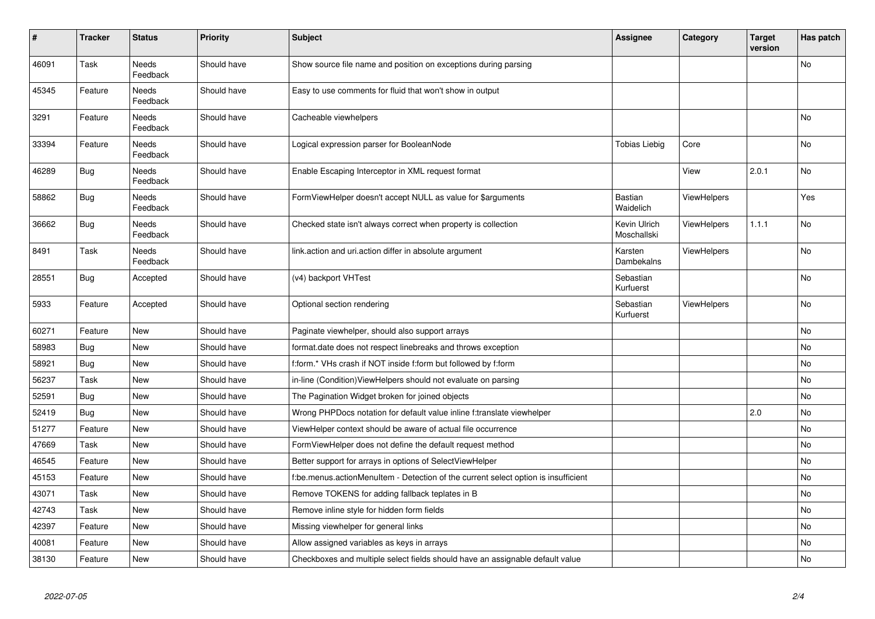| #     | <b>Tracker</b> | <b>Status</b>            | <b>Priority</b> | <b>Subject</b>                                                                     | <b>Assignee</b>             | Category           | <b>Target</b><br>version | Has patch |
|-------|----------------|--------------------------|-----------------|------------------------------------------------------------------------------------|-----------------------------|--------------------|--------------------------|-----------|
| 46091 | Task           | <b>Needs</b><br>Feedback | Should have     | Show source file name and position on exceptions during parsing                    |                             |                    |                          | <b>No</b> |
| 45345 | Feature        | <b>Needs</b><br>Feedback | Should have     | Easy to use comments for fluid that won't show in output                           |                             |                    |                          |           |
| 3291  | Feature        | Needs<br>Feedback        | Should have     | Cacheable viewhelpers                                                              |                             |                    |                          | No        |
| 33394 | Feature        | Needs<br>Feedback        | Should have     | Logical expression parser for BooleanNode                                          | Tobias Liebig               | Core               |                          | No        |
| 46289 | <b>Bug</b>     | Needs<br>Feedback        | Should have     | Enable Escaping Interceptor in XML request format                                  |                             | View               | 2.0.1                    | No        |
| 58862 | Bug            | Needs<br>Feedback        | Should have     | FormViewHelper doesn't accept NULL as value for \$arguments                        | Bastian<br>Waidelich        | <b>ViewHelpers</b> |                          | Yes       |
| 36662 | <b>Bug</b>     | Needs<br>Feedback        | Should have     | Checked state isn't always correct when property is collection                     | Kevin Ulrich<br>Moschallski | <b>ViewHelpers</b> | 1.1.1                    | <b>No</b> |
| 8491  | Task           | Needs<br>Feedback        | Should have     | link.action and uri.action differ in absolute argument                             | Karsten<br>Dambekalns       | <b>ViewHelpers</b> |                          | <b>No</b> |
| 28551 | <b>Bug</b>     | Accepted                 | Should have     | (v4) backport VHTest                                                               | Sebastian<br>Kurfuerst      |                    |                          | <b>No</b> |
| 5933  | Feature        | Accepted                 | Should have     | Optional section rendering                                                         | Sebastian<br>Kurfuerst      | <b>ViewHelpers</b> |                          | <b>No</b> |
| 60271 | Feature        | New                      | Should have     | Paginate viewhelper, should also support arrays                                    |                             |                    |                          | <b>No</b> |
| 58983 | Bug            | New                      | Should have     | format.date does not respect linebreaks and throws exception                       |                             |                    |                          | No        |
| 58921 | Bug            | <b>New</b>               | Should have     | f:form.* VHs crash if NOT inside f:form but followed by f:form                     |                             |                    |                          | <b>No</b> |
| 56237 | Task           | <b>New</b>               | Should have     | in-line (Condition) View Helpers should not evaluate on parsing                    |                             |                    |                          | No        |
| 52591 | Bug            | New                      | Should have     | The Pagination Widget broken for joined objects                                    |                             |                    |                          | <b>No</b> |
| 52419 | <b>Bug</b>     | <b>New</b>               | Should have     | Wrong PHPDocs notation for default value inline f:translate viewhelper             |                             |                    | 2.0                      | No        |
| 51277 | Feature        | New                      | Should have     | ViewHelper context should be aware of actual file occurrence                       |                             |                    |                          | No        |
| 47669 | Task           | New                      | Should have     | FormViewHelper does not define the default request method                          |                             |                    |                          | <b>No</b> |
| 46545 | Feature        | New                      | Should have     | Better support for arrays in options of SelectViewHelper                           |                             |                    |                          | No        |
| 45153 | Feature        | New                      | Should have     | f:be.menus.actionMenuItem - Detection of the current select option is insufficient |                             |                    |                          | <b>No</b> |
| 43071 | Task           | New                      | Should have     | Remove TOKENS for adding fallback teplates in B                                    |                             |                    |                          | No        |
| 42743 | Task           | New                      | Should have     | Remove inline style for hidden form fields                                         |                             |                    |                          | No        |
| 42397 | Feature        | New                      | Should have     | Missing viewhelper for general links                                               |                             |                    |                          | No        |
| 40081 | Feature        | New                      | Should have     | Allow assigned variables as keys in arrays                                         |                             |                    |                          | No        |
| 38130 | Feature        | New                      | Should have     | Checkboxes and multiple select fields should have an assignable default value      |                             |                    |                          | No        |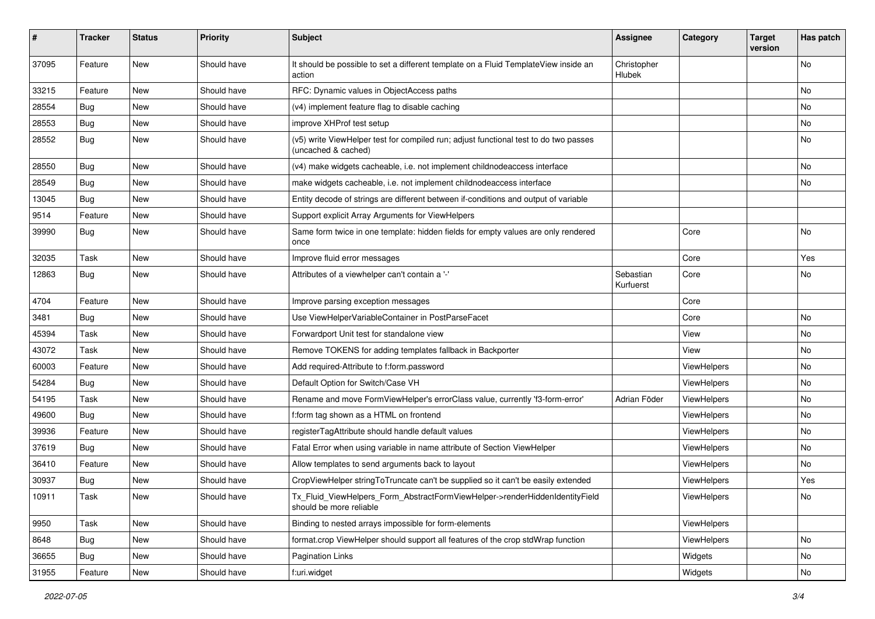| #     | <b>Tracker</b> | <b>Status</b> | <b>Priority</b> | <b>Subject</b>                                                                                              | <b>Assignee</b>        | Category    | <b>Target</b><br>version | Has patch |
|-------|----------------|---------------|-----------------|-------------------------------------------------------------------------------------------------------------|------------------------|-------------|--------------------------|-----------|
| 37095 | Feature        | New           | Should have     | It should be possible to set a different template on a Fluid TemplateView inside an<br>action               | Christopher<br>Hlubek  |             |                          | No        |
| 33215 | Feature        | New           | Should have     | RFC: Dynamic values in ObjectAccess paths                                                                   |                        |             |                          | No        |
| 28554 | Bug            | New           | Should have     | (v4) implement feature flag to disable caching                                                              |                        |             |                          | No        |
| 28553 | Bug            | New           | Should have     | improve XHProf test setup                                                                                   |                        |             |                          | No        |
| 28552 | Bug            | New           | Should have     | (v5) write ViewHelper test for compiled run; adjust functional test to do two passes<br>(uncached & cached) |                        |             |                          | No        |
| 28550 | Bug            | New           | Should have     | (v4) make widgets cacheable, i.e. not implement childnodeaccess interface                                   |                        |             |                          | No        |
| 28549 | <b>Bug</b>     | New           | Should have     | make widgets cacheable, i.e. not implement childnodeaccess interface                                        |                        |             |                          | No        |
| 13045 | Bug            | New           | Should have     | Entity decode of strings are different between if-conditions and output of variable                         |                        |             |                          |           |
| 9514  | Feature        | New           | Should have     | Support explicit Array Arguments for ViewHelpers                                                            |                        |             |                          |           |
| 39990 | Bug            | New           | Should have     | Same form twice in one template: hidden fields for empty values are only rendered<br>once                   |                        | Core        |                          | No        |
| 32035 | Task           | <b>New</b>    | Should have     | Improve fluid error messages                                                                                |                        | Core        |                          | Yes       |
| 12863 | Bug            | New           | Should have     | Attributes of a viewhelper can't contain a '-'                                                              | Sebastian<br>Kurfuerst | Core        |                          | No        |
| 4704  | Feature        | New           | Should have     | Improve parsing exception messages                                                                          |                        | Core        |                          |           |
| 3481  | Bug            | New           | Should have     | Use ViewHelperVariableContainer in PostParseFacet                                                           |                        | Core        |                          | No        |
| 45394 | Task           | New           | Should have     | Forwardport Unit test for standalone view                                                                   |                        | View        |                          | No        |
| 43072 | Task           | New           | Should have     | Remove TOKENS for adding templates fallback in Backporter                                                   |                        | View        |                          | No        |
| 60003 | Feature        | New           | Should have     | Add required-Attribute to f:form.password                                                                   |                        | ViewHelpers |                          | No        |
| 54284 | Bug            | New           | Should have     | Default Option for Switch/Case VH                                                                           |                        | ViewHelpers |                          | No        |
| 54195 | Task           | New           | Should have     | Rename and move FormViewHelper's errorClass value, currently 'f3-form-error'                                | Adrian Föder           | ViewHelpers |                          | No        |
| 49600 | Bug            | New           | Should have     | f:form tag shown as a HTML on frontend                                                                      |                        | ViewHelpers |                          | No        |
| 39936 | Feature        | New           | Should have     | registerTagAttribute should handle default values                                                           |                        | ViewHelpers |                          | No        |
| 37619 | Bug            | New           | Should have     | Fatal Error when using variable in name attribute of Section ViewHelper                                     |                        | ViewHelpers |                          | No        |
| 36410 | Feature        | New           | Should have     | Allow templates to send arguments back to layout                                                            |                        | ViewHelpers |                          | No        |
| 30937 | <b>Bug</b>     | New           | Should have     | CropViewHelper stringToTruncate can't be supplied so it can't be easily extended                            |                        | ViewHelpers |                          | Yes       |
| 10911 | Task           | New           | Should have     | Tx_Fluid_ViewHelpers_Form_AbstractFormViewHelper->renderHiddenIdentityField<br>should be more reliable      |                        | ViewHelpers |                          | NO.       |
| 9950  | Task           | New           | Should have     | Binding to nested arrays impossible for form-elements                                                       |                        | ViewHelpers |                          |           |
| 8648  | <b>Bug</b>     | New           | Should have     | format.crop ViewHelper should support all features of the crop stdWrap function                             |                        | ViewHelpers |                          | No        |
| 36655 | <b>Bug</b>     | New           | Should have     | Pagination Links                                                                                            |                        | Widgets     |                          | No        |
| 31955 | Feature        | New           | Should have     | f:uri.widget                                                                                                |                        | Widgets     |                          | No        |